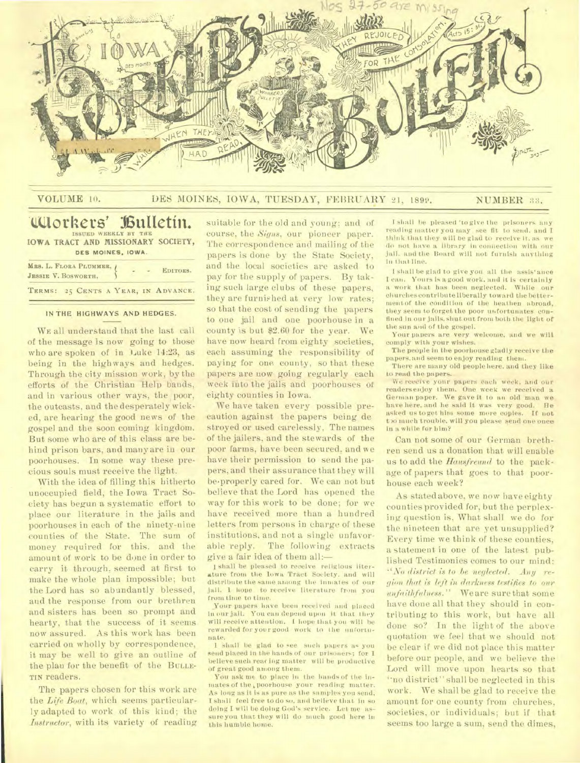

|  | VOLUME 10. |
|--|------------|
|  |            |

## DES MOINES, IOWA, TUESDAY, FEBRUARY 21, 1899. NUMBER 33.

## *<u>tUlorkers' Bulletin.</u>* **ISSUED WEEKLY BY THE IOWA TRACT AND MISSIONARY SOCIETY,**

| DES MOINES, IOWA.                               |  |  |  |  |  |                                     |  |
|-------------------------------------------------|--|--|--|--|--|-------------------------------------|--|
| MRS. L. FLORA PLUMMER, ¿<br>JESSIE V. BOSWORTH. |  |  |  |  |  | EDITORS.                            |  |
|                                                 |  |  |  |  |  | TERMS: 25 CENTS A YEAR, IN ADVANCE. |  |

#### **IN THE HIGHWAYS AND HEDGES.**

WE all understand that the last call of the message is now going to those who are spoken of in Luke 14:23, as being in the highways and hedges. Through the city mission work, by the efforts of the Christian Help bands, and in various other ways, the poor, the outcasts, and the desperately wicked, are hearing the good news of the gospel and the soon coming kingdom. But some who are of this class are behind prison bars, and many are in our poorhouses. In some way these precious souls must receive the light.

With the idea of filling this hitherto unoccupied field, the Iowa Tract Society has begun a systematic effort to place our literature in the jails and poorhouses in each of the ninety-nine counties of the State. The sum of money required for this. and the amount of work to be done in order to carry it through. seemed at first to make the whole plan impossible; but the Lord has so abundantly blessed, and the response from our brethren and sisters has been so prompt and hearty, that the success of it seems now assured. As this work has been carried on wholly by correspondence, it may be well to give an outline of the plan for the benefit of the BULLE-TIN readers.

The papers chosen for this work are the *Life Boat,* which seems particularly adapted to work of this kind; the *Instructor,* with its variety of reading

suitable for the old and young; and of course, the *Signs,* our pioneer paper. The correspondence and mailing of the papers is done by the State Society, and the local societies are asked to pay for the supply of papers. By taking such large clubs of these papers, they are furnished at very low rates; so that the cost of sending the papers to one jail and one poorhouse in a county is but \$2.60 for the year. We have now heard from eighty societies, each assuming the responsibility of paying for one county, so that these papers are now going regularly each week into the jails and poorhouses of eighty counties in Iowa.

We have taken every possible precaution against the papers being de stroyed or used carelessly, The names of the jailers, and the stewards of the poor farms, have been secured, and we have their permission to send the papers, and their assurance that they will be.properly cared for. We can not but believe that the Lord has opened the way for this work to be done; for we have received more than a hundred letters from persons in charge of these institutions, and not a single unfavorable reply. The following extracts give a fair idea of them all:-

1 shall be pleased to receive religious literature from the Iowa Tract Society, and will distribute the same among the inmates of our jail. 1 hope to receive literature from you from time to time.

Your papers have been received and placed in our jail. You can depend upon it that they will receive attention. I hope that you will be rewarded for your good work to the unfortunate.

I shall be glad to see such papers as you send placed in the hands of our prisoners; for I believe such rear ing matter will be productive of great good among them.

You ask me to place in the hands of the inmates of the **k** poorhouse your reading matter. As long as it is as pure as the samples you send, I shall feel free to do so, and believe that in so doing I will be doing God's service. Let me assure you that they will do much good here in this humble home.

I shall be pleased 'to give the prisoners any reading matter you may , see fit to send. and I think that they will be glad to receive it, as we do not have a library in connection with our jail. and the Board will not furnish anything in that line.

I shall be glad to give you all the assis'ance I can. Yours is a good work. and it is certainly a work that has been neglected. While our churches contribute liberally toward the bettermentof the condition of the heathen abroad, they seem to forget the poor unfortunates confined in our jails. shut out front both the light of the sun and of the gospel.

Your papers are very welcome, and we will comply with your wishes.

The people in the poorhouse gladly receive the papers. and seem to enjoy reading them.

There are many old people here, and they like to read the papers.

We receive your papers each week, and our readers enjoy *them.* One week we received a German paper. We gave it to an old man we have here, and he said **it was** very good. He asked us to get him some more copies. If not t)o much trouble, will you please send one once in a while for him?

Can not some of our German brethren send us a donation that will enable us to add the *Hausfreund* to the package of papers that goes to that poorhouse each week?

As stated above, we now have eighty counties provided for, but the perplexing question is, What shall we do for the nineteen that are yet unsupplied? Every time we think of these counties, a statement in one of the latest published Testimonies comes to our mind: "No *district is to be neglected. Any region that is left in darkness testifies to our unfaithfulness."* We are sure that some have done all that they should in contributing to this work, but have all done so? In the light of the above quotation we feel that we should not be clear if we did not place this matter before our people, and we believe the Lord will move upon hearts so that "no district" shall be neglected in this work. We shall be glad to receive the amount for one county from churches, societies, or individuals; but if that seems too large a sum, send the dimes,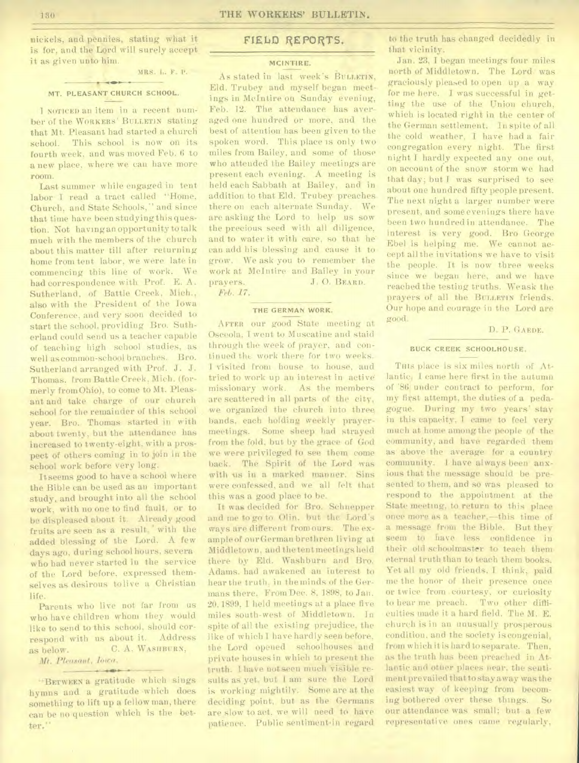nickels, and pennies, stating what it is for, and the Lord will surely accept it as given unto him.

#### $+$ **MT. PLEASANT CHURCH SCHOOL.**

MRS. L. F. P.

I NOTICED an item in a recent number of the WORKERS' BULLETIN stating that Mt. Pleasant had started a church school. This school is now on its fourth week, and was moved Feb. 6 to a new place, where we can have more room.

Last summer while engaged in tent labor I read a tract called "Home, Church, and State Schools," and since that time have been studying this question. Not having an opportunity to talk much with the members of the church about this matter till after returning home from tent labor, we were late in commencing this line of work. We had correspondence with Prof. E. A. Sutherland, of Battle Creek, Mich., also with the President of the Iowa Conference, and very soon decided to start the school, providing Bro. Sutherland could send us a teacher capable of teaching high school studies, as well as common-school branches. Bro. Sutherland arranged with Prof. J. J. Thomas. from Battle Creek, Mich. (formerly from Ohio), to come to Mt. Pleasant and take charge of our church school for the remainder of this school year. Bro. Thomas started in with about twenty, but the attendance has increased to twenty-eight, with a prospect of others coming in to join in the school work before very long.

It seems good to have a school where the Bible can be used as an important study. and brought into all the school work, with uo one to find fault, or to be displeased about it. Already good fruits are seen as a result, with the added blessing of the Lord. A few days ago, during school hours, severa who had never started in the service of the Lord before, expressed themselves as desirous to live a Christian life.

Parents who live not far from us who have children whom they would like to send to this school, should correspond with us about it. Address as below. C. A. WASHBURN,

# *Mt. Pleasant, Imes. •*

"BETWEEN a gratitude which sings hymns and a gratitude which does something to lift up a fellow man, there can be no question which is the better."

**Contact State** 

## **FIELD REPORTS.**

#### **MCINTIRE.**

As stated in last week's BULLETIN, Eld. Trubey and myself began meetings in McIntire on Sunday evening, Feb. 12. The attendance has averaged one hundred or more, and the best of attention has been given to the spoken word. This place is only two miles from Bailey, and some of those who attended the Bailey meetings are present each evening. A meeting is held each Sabbath at Bailey, and in addition to that Eld. Trubey preaches there on each alternate Sunday. We are asking the Lord to help us sow the precious seed with all diligence, and to water it with care, so that he' can add his blessing and cause it to grow. We ask you to remember the work at McIntire and Bailey in your prayers. J. 0. BEARD. *Feb. 17.* 

#### **THE GERMAN WORK.**

AFTER our good State meeting at Osceola, I went to Muscatine and staid through the week of prayer, and continued the work there for two weeks. I visited from house to house, and tried to work up an interest in active missionary work. As the members are scattered in all parts of the city, we organized the church into three bands, each holding weekly prayermeetings. • Some sheep had strayed from the fold, but by the grace of God we were privileged to see them come back. The Spirit of the Lord was with us in a marked manner. Sins were confessed, and we all felt that this was a good place to be.

It was decided for Bro. Schnepper and me to go to Olin. but the Lord's ways are different from ours. The example of our German brethren living at Middletown, and the tent meetings held there by Eld. Washburn and Bro. Adams. had awakened an interest to hear the truth, in the minds of the Germans there. From Dec. 8, 1898, to Jan. 20.1899, I held meetings at a place five miles south-west of Middletown. In spite of all the existing prejudice, the like of which I have hardly seen before. the Lord opened schoolhouses and private houses in which to present the truth. I have not seen much visible results as yet, but I am sure the Lord is working mightily. Some are at the deciding point, but as the Germans are slow to act, we will need to have patience. Public sentiment in regard

to the truth has changed decidedly in that vicinity.

Jan. 23, I began meetings four miles north of Middletown. The Lord was graciously pleased to open up a way for me here. I was successful in getting the use of the Union church, which is located right in the center of the German settlement. In spite of all the cold weather, I have had a fair congregation every night. The first night I hardly expected any one out, on account of the snow storm we had that day; but I was surprised to see about one hundred fifty people present. The next night a larger number were present, and someevenings there have been two hundred in attendance. The interest is very good. Bro George Ebel is helping me. We cannot accept all the invitations we have to visit the people. It is now three weeks since we began here, and we have reached the testing truths. We ask the prayers of all the BULLETIN friends. Our hope and courage in the Lord are good.

### D. P. GAEDE.

## **BUCK CREEK SCHOOLHOUSE.**

THIS place is six miles north of Atlantic, I came here first in the autumn of '86. under contract to perform, for my first attempt, the duties of a pedagogue. During my two years' stay in this capacity, I came to feel very much at home among the people of the. community, and have regarded them as above the average for a country community. I have always been anxious that the message should be presented to them, and so was pleased to respond to the appointment at the State meeting, to return to this place once more as a teacher,—this time of a message from the Bible. But they seem to have less confidence in their old schoolmaster to teach them eternal truth than to teach them books. Yet all my old friends. I think, paid me the honor of their presence once or twice from courtesy, or curiosity to hear me preach. Two other difficulties made it a hard field. The M. E. church is in an unusually prosperous condition, and the society is congenial, from which it is hard to separate. Then, as the truth has been preached in Atlantic and other places near, the sentiment prevailed that to stay away was the easiest way of keeping from becoming bothered over these things. So our attendance was small; but a few representative ones came regularly,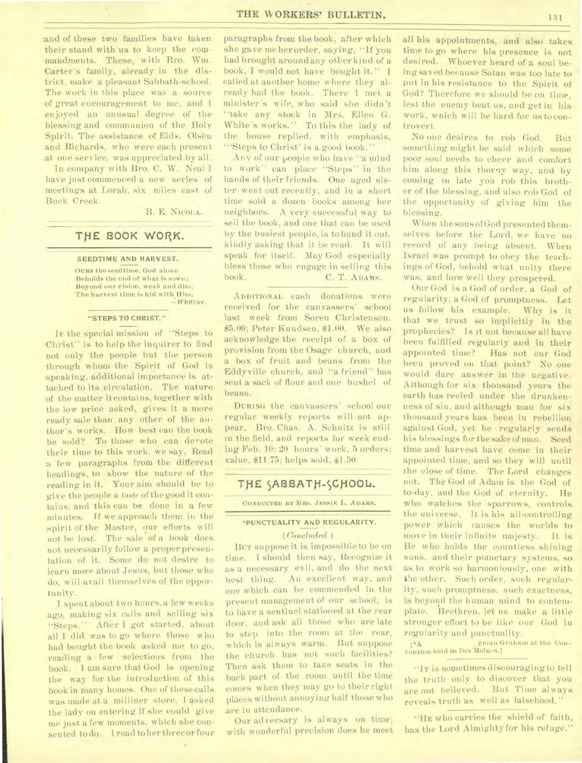and of these two families have taken their stand with us to keep the commandments. These, with Bro. Wm. Carter's family, already in the district. make a pleasant Sabbath-school. The work in this place was a source of great encouragement to me, and I enjoyed an unusual degree of the blessing and communion of the Holy Spirit. The assistance of Elds. Olsen and Richards, who were each present at one service, was appreciated by all.

In company with Bro. C. W. Neal I have just commenced a new series of meetings at Lorah, six miles east of Buck Creek.

B. E. NICOLA.

# THE BOOK WORK.

#### SEEDTIME AND HARVEST.

THE BOOK WORK<br>SEEDTIME AND HARVEST.<br>OURS the seedtime, God alone<br>Beholds the end of what is sow<br>Beyond our yision, weak and o Beholds the end of what is sown; Beyond our vision. weak and dim, The harvest time is hid with Him. *— Whitt ter .* 

#### "STEPS TO CHRIST."

Ir the special mission of "Steps to Christ" is to help the inquirer to find not only the people but the person through whom the Spirit of God is speaking, additional importance is attached to its circulation. The nature of the matter it contains, together with the low price asked, gives it a more ready sale than any other of the author's works. How best can the book be sold? To those who can devote their time to this work, we say, Read a few paragraphs from the different headings, to show the nature of the reading in it. Your aim should be to give the people a *taste* of the good it contains, and this can be done in a few minutes. If we approach them in the spirit of the Master, our efforts will not be lost. The sale of a book does not necessarily follow a proper presentation of it. Some do not desire to learn more about Jesus, but those who do, will avail themselves of the opportunity.

I spent about two hours, a few weeks ago, making six calls and selling six "Steps." After I got started, about all I did was to go where those who had bought the book asked me to go, reading a few selections from the book. 1 am sure that God is opening the way for the introduction of this book in many homes. One of these calls was made at a milliner store. I asked the lady on entering if she could give me just a few moments, which she consented to do.. 1 read to her three or four

paragraphs from the book, after which she gave me her order, saying, "If you had brought around any other kind of a book, I would not have bought it." I called at another home where they already had the book. There I met a minister's wife, who said she didn't "take any stock in Mrs. Ellen G. White's works." To this the lady of the house replied, with emphasis, "Steps to Christ' is a good book."

Any of our people who have "a mind to work" can place "Steps" in the hands of their friends. One aged sister went out recently, and in a short time sold a dozen books among her neighbors. A very successful way to sell the book, and one that can be used by the busiest people, is to hand it out, kindly asking that it be read. It will speak for itself. May God especially bless those who engage in selling this book. C. T. ADAMS.

ADDITIONAL cash donations were received for the canvassers' school last week from Soren Christenson. \$5.00; Peter Knudsen, \$1.00. We also acknowledge the receipt of a box of provision from the Osage church, and a box of fruit and beans from the Eddyville church, and "a friend" has sent a sack of flour and one bushel of beans.

DURING the canvassers' school our regular weekly reports will not appear, Bro. Chas. A. Schultz is still in the field, and reports for week ending Feb. 10: 20 hours' work, 5 orders; value, \$11.75; helps sold, \$1.50.

## THE SABBATH-SCHOOL.

CONDUCTED BY MRS. JESSIE L. ADAMS.

## \*PUNCTUALITY AND REGULARITY. *(Concluded.)*

BUT suppose it is impossible to be on time. I should then say, Recognize it as a necessary evil, and do the next best thing. An excellent way, and one which can be commended in the present management of our school, is to have a sentinel stationed at the rear door, and ask all those who are late to step into the room at the rear, which is always warm. But suppose the church has not such facilities? Then ask them to take seats in the back part of the room until the time comes when they may go to their right places without annoying half those who are in attendance.

Our adversary is always on time; with wonderful precision does he meet all his appointments, and also takes time to go where his presence is not desired. Whoever heard of a soul being saved because Satan was too late to put in his resistance to the Spirit of God? Therefore we should be on time, lest the enemy beat us, and get in his work, wnich will be hard for us to controvert.

No one desires to rob God. But something might be said which some poor soul needs to cheer and comfort him along this thorny way, and 'by coming in late you rob this brother of the blessing, and also rob God of the opportunity of giving him the blessing.

When the sons of God presented themselves before the Lord, we have no record of any being absent. When Israel was prompt to obey the teachings of God, behold what unity there was, and how well they prospered.

Our God is a God of order, a God of regularity, a God of promptness. Let us follow his example. Why is it that we trust so implicitly in the prophecies? Is it not because all have been fulfilled regularly and in their<br>appointed time? Has not our God Has not our God been proved on that point? No one would dare answer in the negative. Although for six thousand years the earth has reeled under the drunkenness of sin, and although man for six thousand years has been in rebellion against God, yet he • regularly sends his blessings for the sake of man. Seed time and harvest have come in their appointed time, and so they will until the close of time. The Lord changes not. The God of Adam is the God of to-day, and the God of eternity. He who watches the sparrows, controls the universe. It is his all-controlling power which causes the worlds to move in their infinite majesty. It is He who holds the countless shining suns, and their planetary systems, so as to work so harmoniously, one with the other. Such order, such regularity, such promptness, such exactness, is beyond the human mind to contemplate. Brethren, let us make a little stronger effort to be like our God in regularity and punctuality.

yinan Graham at the Con- $1^*$ A vention held in Des Moines.]

"IT is sometimes discouraging to tell the truth only to discover that you are not believed. But Time always reveals truth as well as falsehood."

"HE who carries the shield of faith, has the Lord Almighty for his refuge."